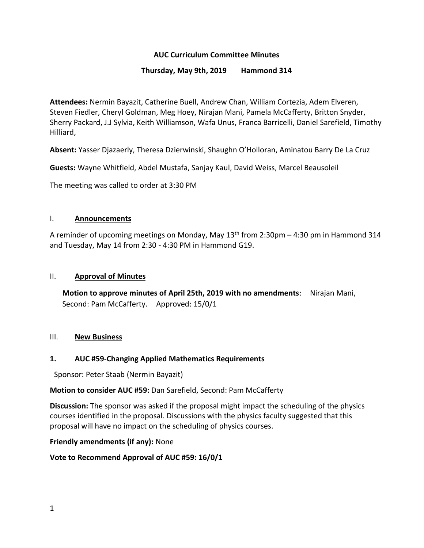## **AUC Curriculum Committee Minutes**

### **Thursday, May 9th, 2019 Hammond 314**

**Attendees:** Nermin Bayazit, Catherine Buell, Andrew Chan, William Cortezia, Adem Elveren, Steven Fiedler, Cheryl Goldman, Meg Hoey, Nirajan Mani, Pamela McCafferty, Britton Snyder, Sherry Packard, J.J Sylvia, Keith Williamson, Wafa Unus, Franca Barricelli, Daniel Sarefield, Timothy Hilliard,

**Absent:** Yasser Djazaerly, Theresa Dzierwinski, Shaughn O'Holloran, Aminatou Barry De La Cruz

**Guests:** Wayne Whitfield, Abdel Mustafa, Sanjay Kaul, David Weiss, Marcel Beausoleil

The meeting was called to order at 3:30 PM

### I. **Announcements**

A reminder of upcoming meetings on Monday, May 13th from 2:30pm – 4:30 pm in Hammond 314 and Tuesday, May 14 from 2:30 - 4:30 PM in Hammond G19.

### II. **Approval of Minutes**

**Motion to approve minutes of April 25th, 2019 with no amendments**: Nirajan Mani, Second: Pam McCafferty. Approved: 15/0/1

### III. **New Business**

## **1. AUC #59-Changing Applied Mathematics Requirements**

Sponsor: Peter Staab (Nermin Bayazit)

### **Motion to consider AUC #59:** Dan Sarefield, Second: Pam McCafferty

**Discussion:** The sponsor was asked if the proposal might impact the scheduling of the physics courses identified in the proposal. Discussions with the physics faculty suggested that this proposal will have no impact on the scheduling of physics courses.

### **Friendly amendments (if any):** None

### **Vote to Recommend Approval of AUC #59: 16/0/1**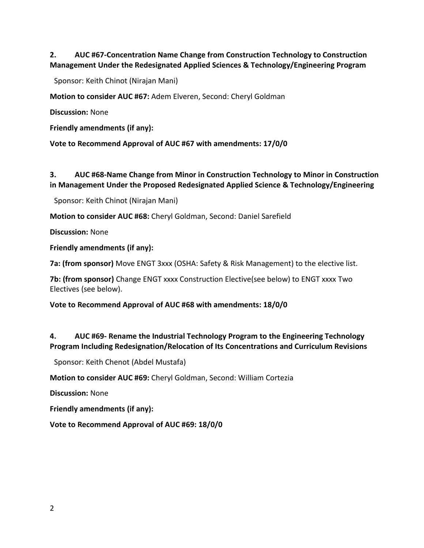# **2. AUC #67-Concentration Name Change from Construction Technology to Construction Management Under the Redesignated Applied Sciences & Technology/Engineering Program**

Sponsor: Keith Chinot (Nirajan Mani)

**Motion to consider AUC #67:** Adem Elveren, Second: Cheryl Goldman

**Discussion:** None

**Friendly amendments (if any):** 

**Vote to Recommend Approval of AUC #67 with amendments: 17/0/0**

## **3. AUC #68-Name Change from Minor in Construction Technology to Minor in Construction in Management Under the Proposed Redesignated Applied Science & Technology/Engineering**

Sponsor: Keith Chinot (Nirajan Mani)

**Motion to consider AUC #68:** Cheryl Goldman, Second: Daniel Sarefield

**Discussion:** None

**Friendly amendments (if any):**

**7a: (from sponsor)** Move ENGT 3xxx (OSHA: Safety & Risk Management) to the elective list.

**7b: (from sponsor)** Change ENGT xxxx Construction Elective(see below) to ENGT xxxx Two Electives (see below).

**Vote to Recommend Approval of AUC #68 with amendments: 18/0/0**

## **4. AUC #69- Rename the Industrial Technology Program to the Engineering Technology Program Including Redesignation/Relocation of Its Concentrations and Curriculum Revisions**

Sponsor: Keith Chenot (Abdel Mustafa)

**Motion to consider AUC #69:** Cheryl Goldman, Second: William Cortezia

**Discussion:** None

**Friendly amendments (if any):**

**Vote to Recommend Approval of AUC #69: 18/0/0**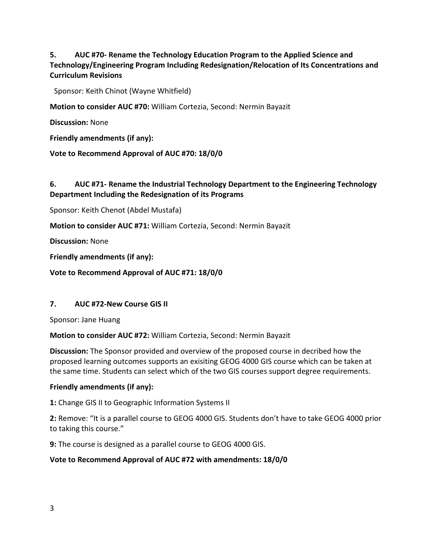**5. AUC #70- Rename the Technology Education Program to the Applied Science and Technology/Engineering Program Including Redesignation/Relocation of Its Concentrations and Curriculum Revisions**

Sponsor: Keith Chinot (Wayne Whitfield)

**Motion to consider AUC #70:** William Cortezia, Second: Nermin Bayazit

**Discussion:** None

**Friendly amendments (if any):**

**Vote to Recommend Approval of AUC #70: 18/0/0**

## **6. AUC #71- Rename the Industrial Technology Department to the Engineering Technology Department Including the Redesignation of its Programs**

Sponsor: Keith Chenot (Abdel Mustafa)

**Motion to consider AUC #71:** William Cortezia, Second: Nermin Bayazit

**Discussion:** None

**Friendly amendments (if any):** 

**Vote to Recommend Approval of AUC #71: 18/0/0**

### **7. AUC #72-New Course GIS II**

Sponsor: Jane Huang

**Motion to consider AUC #72:** William Cortezia, Second: Nermin Bayazit

**Discussion:** The Sponsor provided and overview of the proposed course in decribed how the proposed learning outcomes supports an exisiting GEOG 4000 GIS course which can be taken at the same time. Students can select which of the two GIS courses support degree requirements.

#### **Friendly amendments (if any):**

**1:** Change GIS II to Geographic Information Systems II

**2:** Remove: "It is a parallel course to GEOG 4000 GIS. Students don't have to take GEOG 4000 prior to taking this course."

**9:** The course is designed as a parallel course to GEOG 4000 GIS.

### **Vote to Recommend Approval of AUC #72 with amendments: 18/0/0**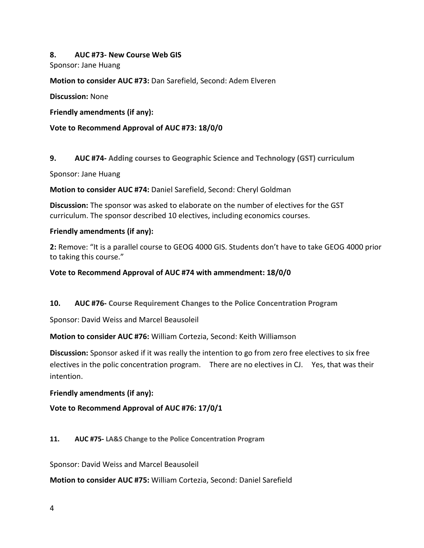### **8. AUC #73- New Course Web GIS**

Sponsor: Jane Huang

**Motion to consider AUC #73:** Dan Sarefield, Second: Adem Elveren

**Discussion:** None

**Friendly amendments (if any):**

### **Vote to Recommend Approval of AUC #73: 18/0/0**

**9. AUC #74- [Adding courses to Geographic Science and Technology \(GST\) curriculum](http://web.fitchburgstate.edu/aucproposals/upload/AUC2019-047.pdf)**

Sponsor: Jane Huang

**Motion to consider AUC #74:** Daniel Sarefield, Second: Cheryl Goldman

**Discussion:** The sponsor was asked to elaborate on the number of electives for the GST curriculum. The sponsor described 10 electives, including economics courses.

### **Friendly amendments (if any):**

**2:** Remove: "It is a parallel course to GEOG 4000 GIS. Students don't have to take GEOG 4000 prior to taking this course."

**Vote to Recommend Approval of AUC #74 with ammendment: 18/0/0**

**10. AUC #76- [Course Requirement Changes to the Police Concentration Program](http://web.fitchburgstate.edu/aucproposals/upload/AUC2019-049.pdf)** 

Sponsor: David Weiss and Marcel Beausoleil

**Motion to consider AUC #76:** William Cortezia, Second: Keith Williamson

**Discussion:** Sponsor asked if it was really the intention to go from zero free electives to six free electives in the polic concentration program. There are no electives in CJ. Yes, that was their intention.

**Friendly amendments (if any):**

**Vote to Recommend Approval of AUC #76: 17/0/1**

**11. AUC #75- [LA&S Change to the Police Concentration Program](http://web.fitchburgstate.edu/aucproposals/upload/AUC2019-048.pdf)** 

Sponsor: David Weiss and Marcel Beausoleil

**Motion to consider AUC #75:** William Cortezia, Second: Daniel Sarefield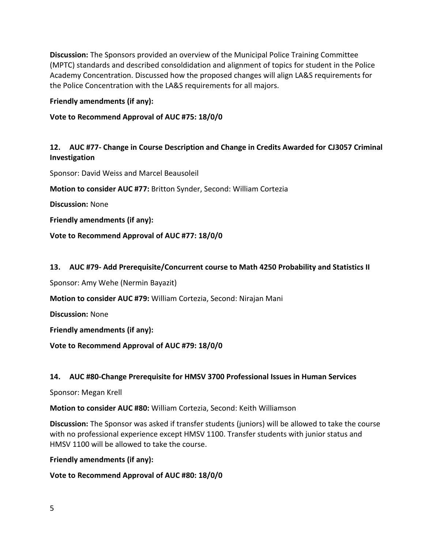**Discussion:** The Sponsors provided an overview of the Municipal Police Training Committee (MPTC) standards and described consoldidation and alignment of topics for student in the Police Academy Concentration. Discussed how the proposed changes will align LA&S requirements for the Police Concentration with the LA&S requirements for all majors.

**Friendly amendments (if any):**

**Vote to Recommend Approval of AUC #75: 18/0/0**

## **12. AUC #77- Change in Course Description and Change in Credits Awarded for CJ3057 Criminal Investigation**

Sponsor: David Weiss and Marcel Beausoleil

**Motion to consider AUC #77:** Britton Synder, Second: William Cortezia

**Discussion:** None

**Friendly amendments (if any):**

**Vote to Recommend Approval of AUC #77: 18/0/0**

## **13. AUC #79- Add Prerequisite/Concurrent course to Math 4250 Probability and Statistics II**

Sponsor: Amy Wehe (Nermin Bayazit)

**Motion to consider AUC #79:** William Cortezia, Second: Nirajan Mani

**Discussion:** None

**Friendly amendments (if any):**

**Vote to Recommend Approval of AUC #79: 18/0/0**

## **14. AUC #80-Change Prerequisite for HMSV 3700 Professional Issues in Human Services**

Sponsor: Megan Krell

**Motion to consider AUC #80:** William Cortezia, Second: Keith Williamson

**Discussion:** The Sponsor was asked if transfer students (juniors) will be allowed to take the course with no professional experience except HMSV 1100. Transfer students with junior status and HMSV 1100 will be allowed to take the course.

**Friendly amendments (if any):** 

**Vote to Recommend Approval of AUC #80: 18/0/0**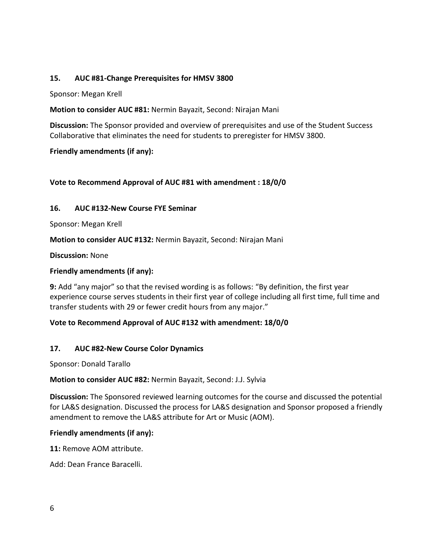## **15. AUC #81-Change Prerequisites for HMSV 3800**

Sponsor: Megan Krell

### **Motion to consider AUC #81:** Nermin Bayazit, Second: Nirajan Mani

**Discussion:** The Sponsor provided and overview of prerequisites and use of the Student Success Collaborative that eliminates the need for students to preregister for HMSV 3800.

### **Friendly amendments (if any):**

## **Vote to Recommend Approval of AUC #81 with amendment : 18/0/0**

### **16. AUC #132-New Course FYE Seminar**

Sponsor: Megan Krell

**Motion to consider AUC #132:** Nermin Bayazit, Second: Nirajan Mani

**Discussion:** None

### **Friendly amendments (if any):**

**9:** Add "any major" so that the revised wording is as follows: "By definition, the first year experience course serves students in their first year of college including all first time, full time and transfer students with 29 or fewer credit hours from any major."

### **Vote to Recommend Approval of AUC #132 with amendment: 18/0/0**

### **17. AUC #82-New Course Color Dynamics**

Sponsor: Donald Tarallo

### **Motion to consider AUC #82:** Nermin Bayazit, Second: J.J. Sylvia

**Discussion:** The Sponsored reviewed learning outcomes for the course and discussed the potential for LA&S designation. Discussed the process for LA&S designation and Sponsor proposed a friendly amendment to remove the LA&S attribute for Art or Music (AOM).

### **Friendly amendments (if any):**

**11:** Remove AOM attribute.

Add: Dean France Baracelli.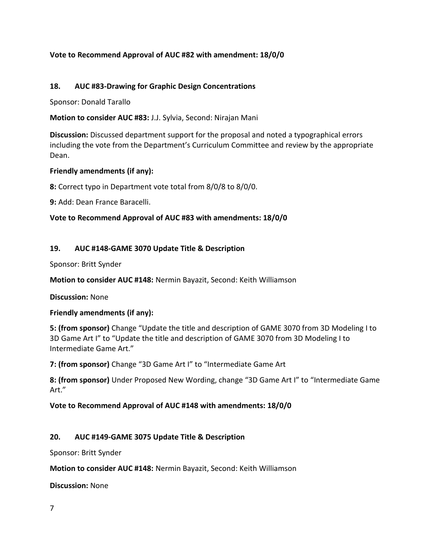## **Vote to Recommend Approval of AUC #82 with amendment: 18/0/0**

### **18. AUC #83-Drawing for Graphic Design Concentrations**

Sponsor: Donald Tarallo

**Motion to consider AUC #83:** J.J. Sylvia, Second: Nirajan Mani

**Discussion:** Discussed department support for the proposal and noted a typographical errors including the vote from the Department's Curriculum Committee and review by the appropriate Dean.

### **Friendly amendments (if any):**

**8:** Correct typo in Department vote total from 8/0/8 to 8/0/0.

**9:** Add: Dean France Baracelli.

### **Vote to Recommend Approval of AUC #83 with amendments: 18/0/0**

### **19. AUC #148-GAME 3070 Update Title & Description**

Sponsor: Britt Synder

**Motion to consider AUC #148:** Nermin Bayazit, Second: Keith Williamson

**Discussion:** None

### **Friendly amendments (if any):**

**5: (from sponsor)** Change "Update the title and description of GAME 3070 from 3D Modeling I to 3D Game Art I" to "Update the title and description of GAME 3070 from 3D Modeling I to Intermediate Game Art."

**7: (from sponsor)** Change "3D Game Art I" to "Intermediate Game Art

**8: (from sponsor)** Under Proposed New Wording, change "3D Game Art I" to "Intermediate Game Art."

### **Vote to Recommend Approval of AUC #148 with amendments: 18/0/0**

## **20. AUC #149-GAME 3075 Update Title & Description**

Sponsor: Britt Synder

**Motion to consider AUC #148:** Nermin Bayazit, Second: Keith Williamson

**Discussion:** None